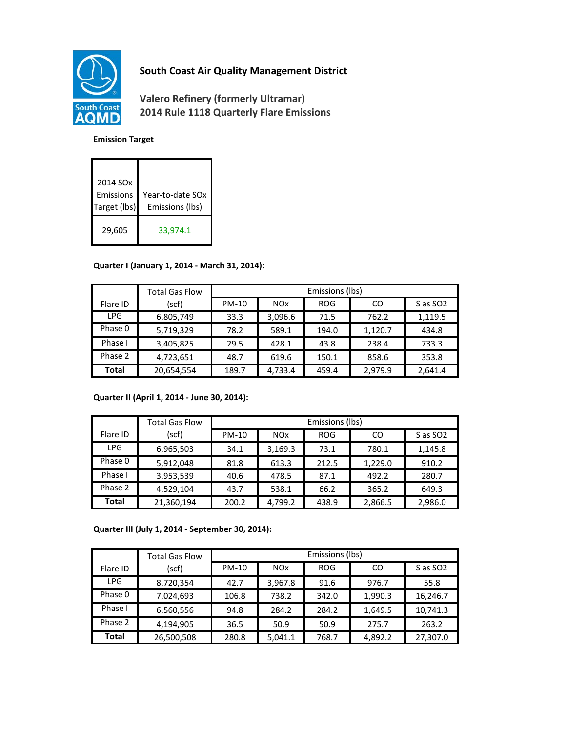

# **South Coast Air Quality Management District**

**Valero Refinery (formerly Ultramar) 2014 Rule 1118 Quarterly Flare Emissions**

#### **Emission Target**

| 2014 SOx<br>Emissions<br>Target (lbs) | Year-to-date SOx<br>Emissions (lbs) |
|---------------------------------------|-------------------------------------|
| 29,605                                | 33,974.1                            |

### **Quarter I (January 1, 2014 - March 31, 2014):**

|            | <b>Total Gas Flow</b> | Emissions (lbs) |                       |            |         |                      |
|------------|-----------------------|-----------------|-----------------------|------------|---------|----------------------|
| Flare ID   | (scf)                 | <b>PM-10</b>    | <b>NO<sub>x</sub></b> | <b>ROG</b> | CO      | S as SO <sub>2</sub> |
| <b>LPG</b> | 6,805,749             | 33.3            | 3,096.6               | 71.5       | 762.2   | 1,119.5              |
| Phase 0    | 5,719,329             | 78.2            | 589.1                 | 194.0      | 1,120.7 | 434.8                |
| Phase I    | 3,405,825             | 29.5            | 428.1                 | 43.8       | 238.4   | 733.3                |
| Phase 2    | 4,723,651             | 48.7            | 619.6                 | 150.1      | 858.6   | 353.8                |
| Total      | 20,654,554            | 189.7           | 4,733.4               | 459.4      | 2,979.9 | 2,641.4              |

### **Quarter II (April 1, 2014 - June 30, 2014):**

|              | <b>Total Gas Flow</b> | Emissions (lbs) |                       |            |         |                      |
|--------------|-----------------------|-----------------|-----------------------|------------|---------|----------------------|
| Flare ID     | (scf)                 | <b>PM-10</b>    | <b>NO<sub>x</sub></b> | <b>ROG</b> | CO      | S as SO <sub>2</sub> |
| <b>LPG</b>   | 6,965,503             | 34.1            | 3,169.3               | 73.1       | 780.1   | 1,145.8              |
| Phase 0      | 5,912,048             | 81.8            | 613.3                 | 212.5      | 1,229.0 | 910.2                |
| Phase I      | 3,953,539             | 40.6            | 478.5                 | 87.1       | 492.2   | 280.7                |
| Phase 2      | 4,529,104             | 43.7            | 538.1                 | 66.2       | 365.2   | 649.3                |
| <b>Total</b> | 21,360,194            | 200.2           | 4.799.2               | 438.9      | 2,866.5 | 2,986.0              |

**Quarter III (July 1, 2014 - September 30, 2014):**

|            | <b>Total Gas Flow</b> | Emissions (lbs) |            |            |         |                      |
|------------|-----------------------|-----------------|------------|------------|---------|----------------------|
| Flare ID   | (scf)                 | <b>PM-10</b>    | <b>NOx</b> | <b>ROG</b> | CO      | S as SO <sub>2</sub> |
| <b>LPG</b> | 8,720,354             | 42.7            | 3,967.8    | 91.6       | 976.7   | 55.8                 |
| Phase 0    | 7,024,693             | 106.8           | 738.2      | 342.0      | 1,990.3 | 16,246.7             |
| Phase I    | 6,560,556             | 94.8            | 284.2      | 284.2      | 1,649.5 | 10,741.3             |
| Phase 2    | 4,194,905             | 36.5            | 50.9       | 50.9       | 275.7   | 263.2                |
| Total      | 26,500,508            | 280.8           | 5,041.1    | 768.7      | 4.892.2 | 27,307.0             |